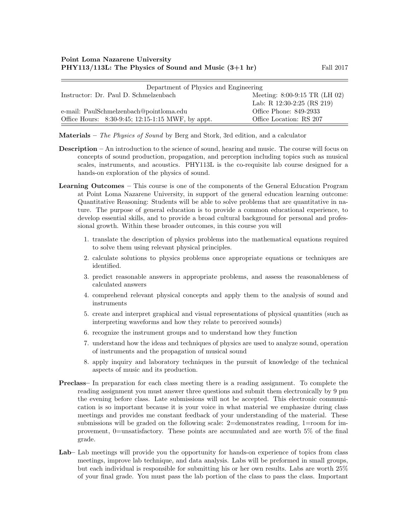| Department of Physics and Engineering             |                               |  |  |
|---------------------------------------------------|-------------------------------|--|--|
| Instructor: Dr. Paul D. Schmelzenbach             | Meeting: 8:00-9:15 TR (LH 02) |  |  |
|                                                   | Lab: R 12:30-2:25 (RS 219)    |  |  |
| e-mail: PaulSchmelzenbach@pointloma.edu           | Office Phone: 849-2933        |  |  |
| Office Hours: 8:30-9:45; 12:15-1:15 MWF, by appt. | Office Location: RS 207       |  |  |

Materials – The Physics of Sound by Berg and Stork, 3rd edition, and a calculator

- Description An introduction to the science of sound, hearing and music. The course will focus on concepts of sound production, propagation, and perception including topics such as musical scales, instruments, and acoustics. PHY113L is the co-requisite lab course designed for a hands-on exploration of the physics of sound.
- Learning Outcomes This course is one of the components of the General Education Program at Point Loma Nazarene University, in support of the general education learning outcome: Quantitative Reasoning: Students will be able to solve problems that are quantitative in nature. The purpose of general education is to provide a common educational experience, to develop essential skills, and to provide a broad cultural background for personal and professional growth. Within these broader outcomes, in this course you will
	- 1. translate the description of physics problems into the mathematical equations required to solve them using relevant physical principles.
	- 2. calculate solutions to physics problems once appropriate equations or techniques are identified.
	- 3. predict reasonable answers in appropriate problems, and assess the reasonableness of calculated answers
	- 4. comprehend relevant physical concepts and apply them to the analysis of sound and instruments
	- 5. create and interpret graphical and visual representations of physical quantities (such as interpreting waveforms and how they relate to perceived sounds)
	- 6. recognize the instrument groups and to understand how they function
	- 7. understand how the ideas and techniques of physics are used to analyze sound, operation of instruments and the propagation of musical sound
	- 8. apply inquiry and laboratory techniques in the pursuit of knowledge of the technical aspects of music and its production.
- Preclass– In preparation for each class meeting there is a reading assignment. To complete the reading assignment you must answer three questions and submit them electronically by 9 pm the evening before class. Late submissions will not be accepted. This electronic communication is so important because it is your voice in what material we emphasize during class meetings and provides me constant feedback of your understanding of the material. These submissions will be graded on the following scale: 2=demonstrates reading, 1=room for improvement, 0=unsatisfactory. These points are accumulated and are worth 5% of the final grade.
- Lab– Lab meetings will provide you the opportunity for hands-on experience of topics from class meetings, improve lab technique, and data analysis. Labs will be preformed in small groups, but each individual is responsible for submitting his or her own results. Labs are worth 25% of your final grade. You must pass the lab portion of the class to pass the class. Important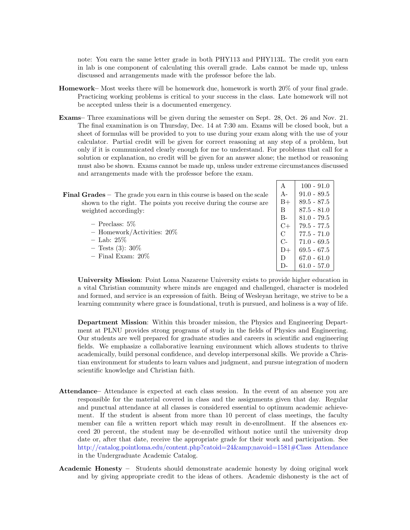note: You earn the same letter grade in both PHY113 and PHY113L. The credit you earn in lab is one component of calculating this overall grade. Labs cannot be made up, unless discussed and arrangements made with the professor before the lab.

- Homework– Most weeks there will be homework due, homework is worth 20% of your final grade. Practicing working problems is critical to your success in the class. Late homework will not be accepted unless their is a documented emergency.
- Exams– Three examinations will be given during the semester on Sept. 28, Oct. 26 and Nov. 21. The final examination is on Thursday, Dec. 14 at 7:30 am. Exams will be closed book, but a sheet of formulas will be provided to you to use during your exam along with the use of your calculator. Partial credit will be given for correct reasoning at any step of a problem, but only if it is communicated clearly enough for me to understand. For problems that call for a solution or explanation, no credit will be given for an answer alone; the method or reasoning must also be shown. Exams cannot be made up, unless under extreme circumstances discussed and arrangements made with the professor before the exam.

 $| A | 100 - 91.0$ 

| <b>Final Grades</b> $-$ The grade you earn in this course is based on the scale | $A-$  | $91.0 - 89.5$   |
|---------------------------------------------------------------------------------|-------|-----------------|
| shown to the right. The points you receive during the course are                | $B+$  | $89.5 - 87.5$   |
| weighted accordingly:                                                           | B     | $87.5 - 81.0$   |
|                                                                                 | $B -$ | $81.0 - 79.5$   |
| $-$ Preclass: $5\%$                                                             |       | $79.5$ - $77.5$ |
| $-$ Homework/Activities: 20%                                                    | C     | $77.5 - 71.0$   |
| $-$ Lab: 25%                                                                    | $C-$  | $71.0 - 69.5$   |
| $-$ Tests (3): 30\%                                                             | $D+$  | $69.5 - 67.5$   |
| $-$ Final Exam: $20\%$                                                          |       | $67.0 - 61.0$   |
|                                                                                 |       | $61.0 - 57.0$   |

University Mission: Point Loma Nazarene University exists to provide higher education in a vital Christian community where minds are engaged and challenged, character is modeled and formed, and service is an expression of faith. Being of Wesleyan heritage, we strive to be a learning community where grace is foundational, truth is pursued, and holiness is a way of life.

Department Mission: Within this broader mission, the Physics and Engineering Department at PLNU provides strong programs of study in the fields of Physics and Engineering. Our students are well prepared for graduate studies and careers in scientific and engineering fields. We emphasize a collaborative learning environment which allows students to thrive academically, build personal confidence, and develop interpersonal skills. We provide a Christian environment for students to learn values and judgment, and pursue integration of modern scientific knowledge and Christian faith.

- Attendance– Attendance is expected at each class session. In the event of an absence you are responsible for the material covered in class and the assignments given that day. Regular and punctual attendance at all classes is considered essential to optimum academic achievement. If the student is absent from more than 10 percent of class meetings, the faculty member can file a written report which may result in de-enrollment. If the absences exceed 20 percent, the student may be de-enrolled without notice until the university drop date or, after that date, receive the appropriate grade for their work and participation. See [http://catalog.pointloma.edu/content.php?catoid=24&navoid=1581#Class Attendance](http://catalog.pointloma.edu/content.php?catoid=24&navoid=1581) in the Undergraduate Academic Catalog.
- Academic Honesty Students should demonstrate academic honesty by doing original work and by giving appropriate credit to the ideas of others. Academic dishonesty is the act of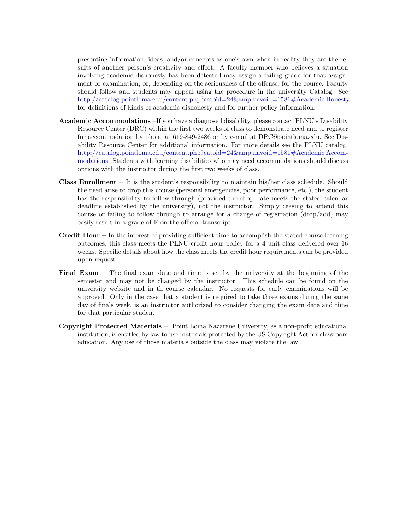presenting information, ideas, and/or concepts as one's own when in reality they are the results of another person's creativity and effort. A faculty member who believes a situation involving academic dishonesty has been detected may assign a failing grade for that assignment or examination, or, depending on the seriousness of the offense, for the course. Faculty should follow and students may appeal using the procedure in the university Catalog. See [http://catalog.pointloma.edu/content.php?catoid=24&navoid=1581#Academic Honesty](http://catalog.pointloma.edu/content.php?catoid=24&navoid=1581) for definitions of kinds of academic dishonesty and for further policy information.

- Academic Accommodations –If you have a diagnosed disability, please contact PLNU's Disability Resource Center (DRC) within the first two weeks of class to demonstrate need and to register for accommodation by phone at 619-849-2486 or by e-mail at DRC@pointloma.edu. See Disability Resource Center for additional information. For more details see the PLNU catalog: [http://catalog.pointloma.edu/content.php?catoid=24&navoid=1581#Academic Accom](http://catalog.pointloma.edu/content.php?catoid=24&navoid=1581)[modations.](http://catalog.pointloma.edu/content.php?catoid=24&navoid=1581) Students with learning disabilities who may need accommodations should discuss options with the instructor during the first two weeks of class.
- **Class Enrollment** It is the student's responsibility to maintain his/her class schedule. Should the need arise to drop this course (personal emergencies, poor performance, etc.), the student has the responsibility to follow through (provided the drop date meets the stated calendar deadline established by the university), not the instructor. Simply ceasing to attend this course or failing to follow through to arrange for a change of registration (drop/add) may easily result in a grade of F on the official transcript.
- **Credit Hour** In the interest of providing sufficient time to accomplish the stated course learning outcomes, this class meets the PLNU credit hour policy for a 4 unit class delivered over 16 weeks. Specific details about how the class meets the credit hour requirements can be provided upon request.
- Final Exam The final exam date and time is set by the university at the beginning of the semester and may not be changed by the instructor. This schedule can be found on the university website and in th course calendar. No requests for early examinations will be approved. Only in the case that a student is required to take three exams during the same day of finals week, is an instructor authorized to consider changing the exam date and time for that particular student.
- Copyright Protected Materials Point Loma Nazarene University, as a non-profit educational institution, is entitled by law to use materials protected by the US Copyright Act for classroom education. Any use of those materials outside the class may violate the law.